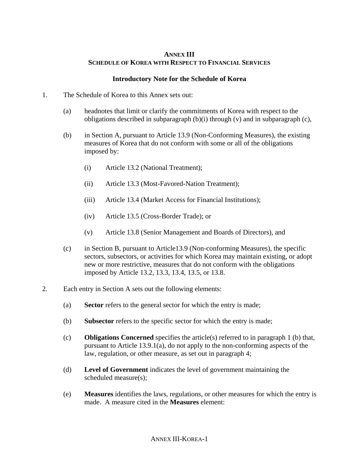### **ANNEX III SCHEDULE OF KOREA WITH RESPECT TO FINANCIAL SERVICES**

#### **Introductory Note for the Schedule of Korea**

- 1. The Schedule of Korea to this Annex sets out:
	- (a) headnotes that limit or clarify the commitments of Korea with respect to the obligations described in subparagraph (b)(i) through (v) and in subparagraph (c),
	- (b) in Section A, pursuant to Article 13.9 (Non-Conforming Measures), the existing measures of Korea that do not conform with some or all of the obligations imposed by:
		- (i) Article 13.2 (National Treatment);
		- (ii) Article 13.3 (Most-Favored-Nation Treatment);
		- (iii) Article 13.4 (Market Access for Financial Institutions);
		- (iv) Article 13.5 (Cross-Border Trade); or
		- (v) Article 13.8 (Senior Management and Boards of Directors), and
	- (c) in Section B, pursuant to Article13.9 (Non-conforming Measures), the specific sectors, subsectors, or activities for which Korea may maintain existing, or adopt new or more restrictive, measures that do not conform with the obligations imposed by Article 13.2, 13.3, 13.4, 13.5, or 13.8.
- 2. Each entry in Section A sets out the following elements:
	- (a) **Sector** refers to the general sector for which the entry is made;
	- (b) **Subsector** refers to the specific sector for which the entry is made;
	- (c) **Obligations Concerned** specifies the article(s) referred to in paragraph 1 (b) that, pursuant to Article 13.9.1(a), do not apply to the non-conforming aspects of the law, regulation, or other measure, as set out in paragraph 4;
	- (d) **Level of Government** indicates the level of government maintaining the scheduled measure(s);
	- (e) **Measures** identifies the laws, regulations, or other measures for which the entry is made. A measure cited in the **Measures** element: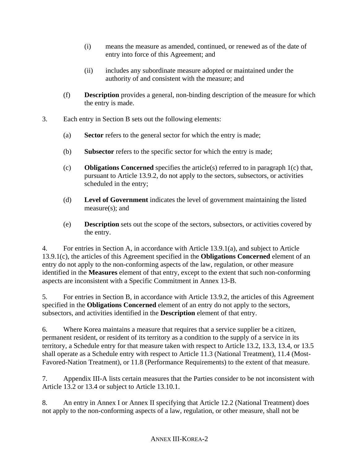- (i) means the measure as amended, continued, or renewed as of the date of entry into force of this Agreement; and
- (ii) includes any subordinate measure adopted or maintained under the authority of and consistent with the measure; and
- (f) **Description** provides a general, non-binding description of the measure for which the entry is made.
- 3. Each entry in Section B sets out the following elements:
	- (a) **Sector** refers to the general sector for which the entry is made;
	- (b) **Subsector** refers to the specific sector for which the entry is made;
	- (c) **Obligations Concerned** specifies the article(s) referred to in paragraph 1(c) that, pursuant to Article 13.9.2, do not apply to the sectors, subsectors, or activities scheduled in the entry;
	- (d) **Level of Government** indicates the level of government maintaining the listed measure(s); and
	- (e) **Description** sets out the scope of the sectors, subsectors, or activities covered by the entry.

4. For entries in Section A, in accordance with Article 13.9.1(a), and subject to Article 13.9.1(c), the articles of this Agreement specified in the **Obligations Concerned** element of an entry do not apply to the non-conforming aspects of the law, regulation, or other measure identified in the **Measures** element of that entry, except to the extent that such non-conforming aspects are inconsistent with a Specific Commitment in Annex 13-B.

5. For entries in Section B, in accordance with Article 13.9.2, the articles of this Agreement specified in the **Obligations Concerned** element of an entry do not apply to the sectors, subsectors, and activities identified in the **Description** element of that entry.

6. Where Korea maintains a measure that requires that a service supplier be a citizen, permanent resident, or resident of its territory as a condition to the supply of a service in its territory, a Schedule entry for that measure taken with respect to Article 13.2, 13.3, 13.4, or 13.5 shall operate as a Schedule entry with respect to Article 11.3 (National Treatment), 11.4 (Most-Favored-Nation Treatment), or 11.8 (Performance Requirements) to the extent of that measure.

7. Appendix III-A lists certain measures that the Parties consider to be not inconsistent with Article 13.2 or 13.4 or subject to Article 13.10.1.

8. An entry in Annex I or Annex II specifying that Article 12.2 (National Treatment) does not apply to the non-conforming aspects of a law, regulation, or other measure, shall not be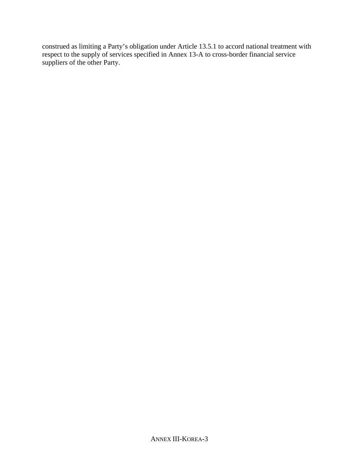construed as limiting a Party's obligation under Article 13.5.1 to accord national treatment with respect to the supply of services specified in Annex 13-A to cross-border financial service suppliers of the other Party.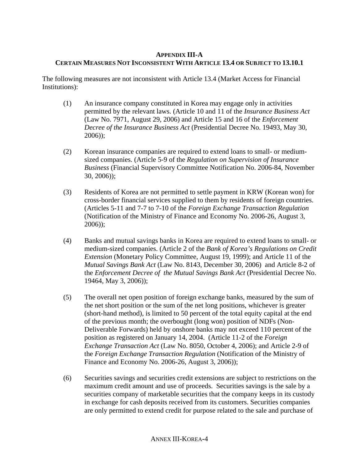### **APPENDIX III-A CERTAIN MEASURES NOT INCONSISTENT WITH ARTICLE 13.4 OR SUBJECT TO 13.10.1**

The following measures are not inconsistent with Article 13.4 (Market Access for Financial Institutions):

- (1) An insurance company constituted in Korea may engage only in activities permitted by the relevant laws. (Article 10 and 11 of the *Insurance Business Act* (Law No. 7971, August 29, 2006) and Article 15 and 16 of the *Enforcement Decree of the Insurance Business Act* (Presidential Decree No. 19493, May 30, 2006));
- (2) Korean insurance companies are required to extend loans to small- or mediumsized companies. (Article 5-9 of the *Regulation on Supervision of Insurance Business* (Financial Supervisory Committee Notification No. 2006-84, November 30, 2006));
- (3) Residents of Korea are not permitted to settle payment in KRW (Korean won) for cross-border financial services supplied to them by residents of foreign countries. (Articles 5-11 and 7-7 to 7-10 of the *Foreign Exchange Transaction Regulation*  (Notification of the Ministry of Finance and Economy No. 2006-26, August 3, 2006));
- (4) Banks and mutual savings banks in Korea are required to extend loans to small- or medium-sized companies. (Article 2 of the *Bank of Korea's Regulations on Credit Extension* (Monetary Policy Committee, August 19, 1999); and Article 11 of the *Mutual Savings Bank Act* (Law No. 8143, December 30, 2006) and Article 8-2 of the *Enforcement Decree of the Mutual Savings Bank Act* (Presidential Decree No. 19464, May 3, 2006));
- (5) The overall net open position of foreign exchange banks, measured by the sum of the net short position or the sum of the net long positions, whichever is greater (short-hand method), is limited to 50 percent of the total equity capital at the end of the previous month; the overbought (long won) position of NDFs (Non-Deliverable Forwards) held by onshore banks may not exceed 110 percent of the position as registered on January 14, 2004. (Article 11-2 of the *Foreign Exchange Transaction Act* (Law No. 8050, October 4, 2006); and Article 2-9 of the *Foreign Exchange Transaction Regulation* (Notification of the Ministry of Finance and Economy No. 2006-26, August 3, 2006));
- (6) Securities savings and securities credit extensions are subject to restrictions on the maximum credit amount and use of proceeds. Securities savings is the sale by a securities company of marketable securities that the company keeps in its custody in exchange for cash deposits received from its customers. Securities companies are only permitted to extend credit for purpose related to the sale and purchase of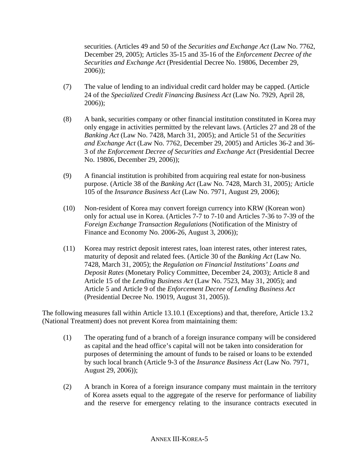securities. (Articles 49 and 50 of the *Securities and Exchange Act* (Law No. 7762, December 29, 2005); Articles 35-15 and 35-16 of the *Enforcement Decree of the Securities and Exchange Act* (Presidential Decree No. 19806, December 29, 2006));

- (7) The value of lending to an individual credit card holder may be capped. (Article 24 of the *Specialized Credit Financing Business Act* (Law No. 7929, April 28, 2006));
- (8) A bank, securities company or other financial institution constituted in Korea may only engage in activities permitted by the relevant laws. (Articles 27 and 28 of the *Banking Act* (Law No. 7428, March 31, 2005); and Article 51 of the *Securities and Exchange Act* (Law No. 7762, December 29, 2005) and Articles 36-2 and 36- 3 of *the Enforcement Decree of Securities and Exchange Act* (Presidential Decree No. 19806, December 29, 2006));
- (9) A financial institution is prohibited from acquiring real estate for non-business purpose. (Article 38 of the *Banking Act* (Law No. 7428, March 31, 2005)*;* Article 105 of the *Insurance Business Act* (Law No. 7971, August 29, 2006);
- (10) Non-resident of Korea may convert foreign currency into KRW (Korean won) only for actual use in Korea. (Articles 7-7 to 7-10 and Articles 7-36 to 7-39 of the *Foreign Exchange Transaction Regulations* (Notification of the Ministry of Finance and Economy No. 2006-26, August 3, 2006));
- (11) Korea may restrict deposit interest rates, loan interest rates, other interest rates, maturity of deposit and related fees. (Article 30 of the *Banking Act* (Law No. 7428, March 31, 2005); the *Regulation on Financial Institutions' Loans and Deposit Rates* (Monetary Policy Committee, December 24, 2003); Article 8 and Article 15 of the *Lending Business Act* (Law No. 7523, May 31, 2005); and Article 5 and Article 9 of the *Enforcement Decree of Lending Business Act*  (Presidential Decree No. 19019, August 31, 2005)).

The following measures fall within Article 13.10.1 (Exceptions) and that, therefore, Article 13.2 (National Treatment) does not prevent Korea from maintaining them:

- (1) The operating fund of a branch of a foreign insurance company will be considered as capital and the head office's capital will not be taken into consideration for purposes of determining the amount of funds to be raised or loans to be extended by such local branch (Article 9-3 of the *Insurance Business Act* (Law No. 7971, August 29, 2006));
- (2) A branch in Korea of a foreign insurance company must maintain in the territory of Korea assets equal to the aggregate of the reserve for performance of liability and the reserve for emergency relating to the insurance contracts executed in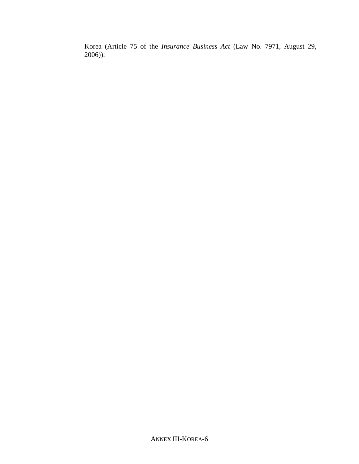Korea (Article 75 of the *Insurance Business Act* (Law No. 7971, August 29, 2006)).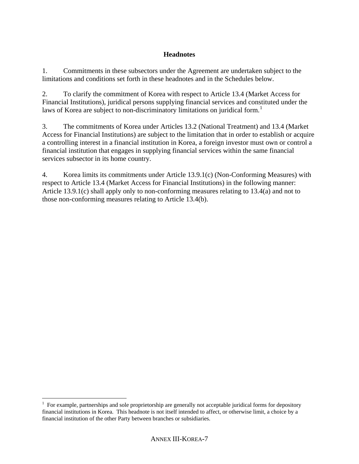## **Headnotes**

1. Commitments in these subsectors under the Agreement are undertaken subject to the limitations and conditions set forth in these headnotes and in the Schedules below.

2. To clarify the commitment of Korea with respect to Article 13.4 (Market Access for Financial Institutions), juridical persons supplying financial services and constituted under the laws of Korea are subject to non-discriminatory limitations on juridical form.<sup>[1](#page-6-0)</sup>

3. The commitments of Korea under Articles 13.2 (National Treatment) and 13.4 (Market Access for Financial Institutions) are subject to the limitation that in order to establish or acquire a controlling interest in a financial institution in Korea, a foreign investor must own or control a financial institution that engages in supplying financial services within the same financial services subsector in its home country.

4. Korea limits its commitments under Article 13.9.1(c) (Non-Conforming Measures) with respect to Article 13.4 (Market Access for Financial Institutions) in the following manner: Article 13.9.1(c) shall apply only to non-conforming measures relating to 13.4(a) and not to those non-conforming measures relating to Article 13.4(b).

 $\overline{a}$ 

<span id="page-6-0"></span> $1$  For example, partnerships and sole proprietorship are generally not acceptable juridical forms for depository financial institutions in Korea. This headnote is not itself intended to affect, or otherwise limit, a choice by a financial institution of the other Party between branches or subsidiaries.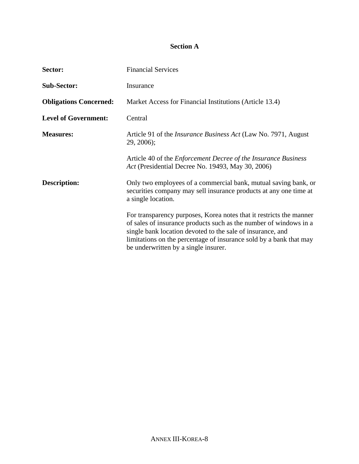# **Section A**

| Sector:                       | <b>Financial Services</b>                                                                                                                                                                                                                                                                                            |
|-------------------------------|----------------------------------------------------------------------------------------------------------------------------------------------------------------------------------------------------------------------------------------------------------------------------------------------------------------------|
| <b>Sub-Sector:</b>            | Insurance                                                                                                                                                                                                                                                                                                            |
| <b>Obligations Concerned:</b> | Market Access for Financial Institutions (Article 13.4)                                                                                                                                                                                                                                                              |
| <b>Level of Government:</b>   | Central                                                                                                                                                                                                                                                                                                              |
| <b>Measures:</b>              | Article 91 of the Insurance Business Act (Law No. 7971, August<br>$29, 2006$ ;                                                                                                                                                                                                                                       |
|                               | Article 40 of the <i>Enforcement Decree of the Insurance Business</i><br>Act (Presidential Decree No. 19493, May 30, 2006)                                                                                                                                                                                           |
| <b>Description:</b>           | Only two employees of a commercial bank, mutual saving bank, or<br>securities company may sell insurance products at any one time at<br>a single location.                                                                                                                                                           |
|                               | For transparency purposes, Korea notes that it restricts the manner<br>of sales of insurance products such as the number of windows in a<br>single bank location devoted to the sale of insurance, and<br>limitations on the percentage of insurance sold by a bank that may<br>be underwritten by a single insurer. |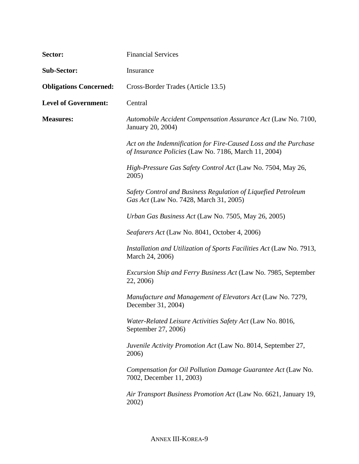| Sector:                       | <b>Financial Services</b>                                                                                                |
|-------------------------------|--------------------------------------------------------------------------------------------------------------------------|
| <b>Sub-Sector:</b>            | Insurance                                                                                                                |
| <b>Obligations Concerned:</b> | Cross-Border Trades (Article 13.5)                                                                                       |
| <b>Level of Government:</b>   | Central                                                                                                                  |
| <b>Measures:</b>              | Automobile Accident Compensation Assurance Act (Law No. 7100,<br>January 20, 2004)                                       |
|                               | Act on the Indemnification for Fire-Caused Loss and the Purchase<br>of Insurance Policies (Law No. 7186, March 11, 2004) |
|                               | High-Pressure Gas Safety Control Act (Law No. 7504, May 26,<br>2005)                                                     |
|                               | Safety Control and Business Regulation of Liquefied Petroleum<br>Gas Act (Law No. 7428, March 31, 2005)                  |
|                               | Urban Gas Business Act (Law No. 7505, May 26, 2005)                                                                      |
|                               | Seafarers Act (Law No. 8041, October 4, 2006)                                                                            |
|                               | Installation and Utilization of Sports Facilities Act (Law No. 7913,<br>March 24, 2006)                                  |
|                               | <i>Excursion Ship and Ferry Business Act</i> (Law No. 7985, September<br>22, 2006)                                       |
|                               | Manufacture and Management of Elevators Act (Law No. 7279,<br>December 31, 2004)                                         |
|                               | Water-Related Leisure Activities Safety Act (Law No. 8016,<br>September 27, 2006)                                        |
|                               | <i>Juvenile Activity Promotion Act</i> (Law No. 8014, September 27,<br>2006)                                             |
|                               | Compensation for Oil Pollution Damage Guarantee Act (Law No.<br>7002, December 11, 2003)                                 |
|                               | Air Transport Business Promotion Act (Law No. 6621, January 19,<br>2002)                                                 |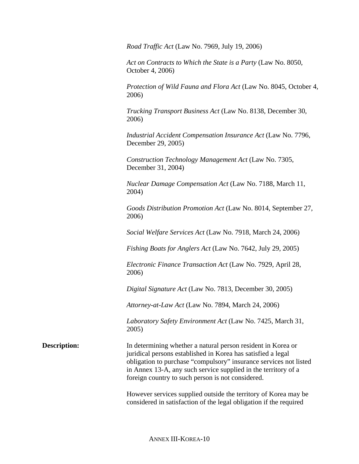*Road Traffic Act* (Law No. 7969, July 19, 2006)

*Act on Contracts to Which the State is a Party* (Law No. 8050, October 4, 2006)

*Protection of Wild Fauna and Flora Act* (Law No. 8045, October 4, 2006)

*Trucking Transport Business Act* (Law No. 8138, December 30, 2006)

*Industrial Accident Compensation Insurance Act* (Law No. 7796, December 29, 2005)

*Construction Technology Management Act* (Law No. 7305, December 31, 2004)

*Nuclear Damage Compensation Act* (Law No. 7188, March 11, 2004)

*Goods Distribution Promotion Act* (Law No. 8014, September 27, 2006)

*Social Welfare Services Act* (Law No. 7918, March 24, 2006)

*Fishing Boats for Anglers Act* (Law No. 7642, July 29, 2005)

*Electronic Finance Transaction Act* (Law No. 7929, April 28, 2006)

*Digital Signature Act* (Law No. 7813, December 30, 2005)

*Attorney-at-Law Act* (Law No. 7894, March 24, 2006)

*Laboratory Safety Environment Act* (Law No. 7425, March 31, 2005)

**Description:** In determining whether a natural person resident in Korea or juridical persons established in Korea has satisfied a legal obligation to purchase "compulsory" insurance services not listed in Annex 13-A, any such service supplied in the territory of a foreign country to such person is not considered.

> However services supplied outside the territory of Korea may be considered in satisfaction of the legal obligation if the required

> > ANNEX III-KOREA**-**10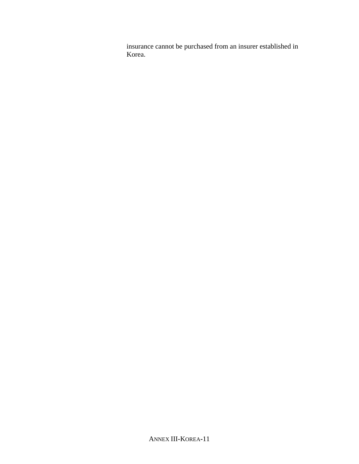insurance cannot be purchased from an insurer established in Korea.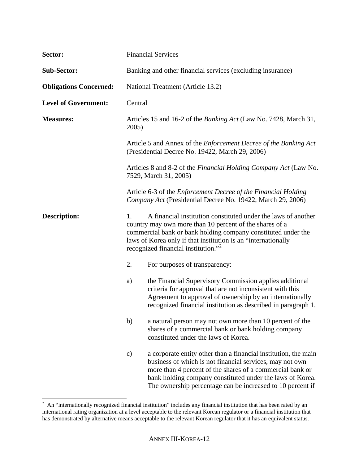| Sector:                       | <b>Financial Services</b> |                                                                                                                                                                                                                                                                                                                     |
|-------------------------------|---------------------------|---------------------------------------------------------------------------------------------------------------------------------------------------------------------------------------------------------------------------------------------------------------------------------------------------------------------|
| <b>Sub-Sector:</b>            |                           | Banking and other financial services (excluding insurance)                                                                                                                                                                                                                                                          |
| <b>Obligations Concerned:</b> |                           | National Treatment (Article 13.2)                                                                                                                                                                                                                                                                                   |
| <b>Level of Government:</b>   | Central                   |                                                                                                                                                                                                                                                                                                                     |
| <b>Measures:</b>              | 2005)                     | Articles 15 and 16-2 of the Banking Act (Law No. 7428, March 31,                                                                                                                                                                                                                                                    |
|                               |                           | Article 5 and Annex of the <i>Enforcement Decree of the Banking Act</i><br>(Presidential Decree No. 19422, March 29, 2006)                                                                                                                                                                                          |
|                               |                           | Articles 8 and 8-2 of the Financial Holding Company Act (Law No.<br>7529, March 31, 2005)                                                                                                                                                                                                                           |
|                               |                           | Article 6-3 of the <i>Enforcement Decree of the Financial Holding</i><br>Company Act (Presidential Decree No. 19422, March 29, 2006)                                                                                                                                                                                |
| Description:                  | 1.                        | A financial institution constituted under the laws of another<br>country may own more than 10 percent of the shares of a<br>commercial bank or bank holding company constituted under the<br>laws of Korea only if that institution is an "internationally<br>recognized financial institution." <sup>2</sup>       |
|                               | 2.                        | For purposes of transparency:                                                                                                                                                                                                                                                                                       |
|                               | a)                        | the Financial Supervisory Commission applies additional<br>criteria for approval that are not inconsistent with this<br>Agreement to approval of ownership by an internationally<br>recognized financial institution as described in paragraph 1.                                                                   |
|                               | b)                        | a natural person may not own more than 10 percent of the<br>shares of a commercial bank or bank holding company<br>constituted under the laws of Korea.                                                                                                                                                             |
|                               | $\mathbf{c})$             | a corporate entity other than a financial institution, the main<br>business of which is not financial services, may not own<br>more than 4 percent of the shares of a commercial bank or<br>bank holding company constituted under the laws of Korea.<br>The ownership percentage can be increased to 10 percent if |

<span id="page-11-0"></span><sup>&</sup>lt;sup>2</sup> An "internationally recognized financial institution" includes any financial institution that has been rated by an international rating organization at a level acceptable to the relevant Korean regulator or a financial institution that has demonstrated by alternative means acceptable to the relevant Korean regulator that it has an equivalent status.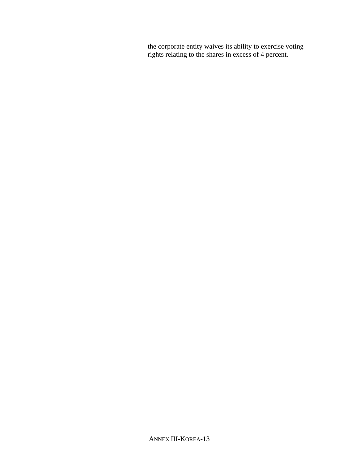the corporate entity waives its ability to exercise voting rights relating to the shares in excess of 4 percent.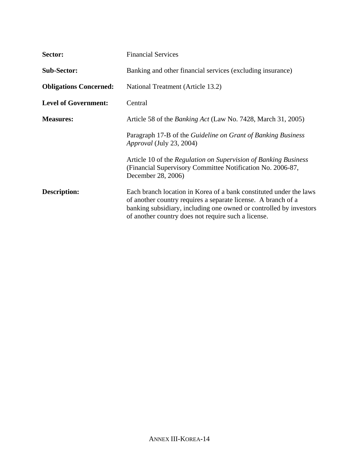| Sector:                       | <b>Financial Services</b>                                                                                                                                                                                                                                        |  |
|-------------------------------|------------------------------------------------------------------------------------------------------------------------------------------------------------------------------------------------------------------------------------------------------------------|--|
| <b>Sub-Sector:</b>            | Banking and other financial services (excluding insurance)                                                                                                                                                                                                       |  |
| <b>Obligations Concerned:</b> | National Treatment (Article 13.2)                                                                                                                                                                                                                                |  |
| <b>Level of Government:</b>   | Central                                                                                                                                                                                                                                                          |  |
| <b>Measures:</b>              | Article 58 of the <i>Banking Act</i> (Law No. 7428, March 31, 2005)                                                                                                                                                                                              |  |
|                               | Paragraph 17-B of the <i>Guideline on Grant of Banking Business</i><br>Approval (July 23, 2004)                                                                                                                                                                  |  |
|                               | Article 10 of the Regulation on Supervision of Banking Business<br>(Financial Supervisory Committee Notification No. 2006-87,<br>December 28, 2006)                                                                                                              |  |
| <b>Description:</b>           | Each branch location in Korea of a bank constituted under the laws<br>of another country requires a separate license. A branch of a<br>banking subsidiary, including one owned or controlled by investors<br>of another country does not require such a license. |  |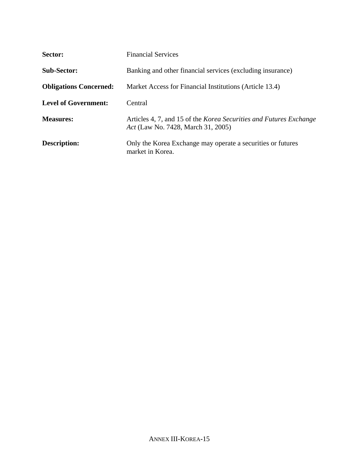| Sector:                       | <b>Financial Services</b>                                                                                       |  |
|-------------------------------|-----------------------------------------------------------------------------------------------------------------|--|
| <b>Sub-Sector:</b>            | Banking and other financial services (excluding insurance)                                                      |  |
| <b>Obligations Concerned:</b> | Market Access for Financial Institutions (Article 13.4)                                                         |  |
| <b>Level of Government:</b>   | Central                                                                                                         |  |
| <b>Measures:</b>              | Articles 4, 7, and 15 of the <i>Korea Securities and Futures Exchange</i><br>Act (Law No. 7428, March 31, 2005) |  |
| <b>Description:</b>           | Only the Korea Exchange may operate a securities or futures<br>market in Korea.                                 |  |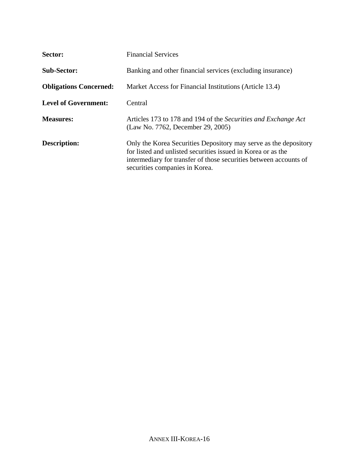| Sector:                       | <b>Financial Services</b>                                                                                                                                                                                                               |
|-------------------------------|-----------------------------------------------------------------------------------------------------------------------------------------------------------------------------------------------------------------------------------------|
| <b>Sub-Sector:</b>            | Banking and other financial services (excluding insurance)                                                                                                                                                                              |
| <b>Obligations Concerned:</b> | Market Access for Financial Institutions (Article 13.4)                                                                                                                                                                                 |
| <b>Level of Government:</b>   | Central                                                                                                                                                                                                                                 |
| <b>Measures:</b>              | Articles 173 to 178 and 194 of the Securities and Exchange Act<br>(Law No. 7762, December 29, 2005)                                                                                                                                     |
| Description:                  | Only the Korea Securities Depository may serve as the depository<br>for listed and unlisted securities issued in Korea or as the<br>intermediary for transfer of those securities between accounts of<br>securities companies in Korea. |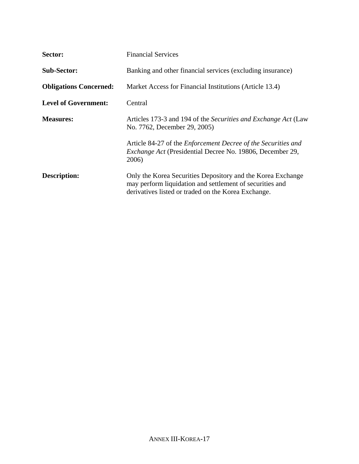| Sector:                       | <b>Financial Services</b>                                                                                                                                                      |
|-------------------------------|--------------------------------------------------------------------------------------------------------------------------------------------------------------------------------|
| <b>Sub-Sector:</b>            | Banking and other financial services (excluding insurance)                                                                                                                     |
| <b>Obligations Concerned:</b> | Market Access for Financial Institutions (Article 13.4)                                                                                                                        |
| <b>Level of Government:</b>   | Central                                                                                                                                                                        |
| <b>Measures:</b>              | Articles 173-3 and 194 of the Securities and Exchange Act (Law<br>No. 7762, December 29, 2005)                                                                                 |
|                               | Article 84-27 of the <i>Enforcement Decree of the Securities and</i><br><i>Exchange Act</i> (Presidential Decree No. 19806, December 29,<br>2006)                              |
| <b>Description:</b>           | Only the Korea Securities Depository and the Korea Exchange<br>may perform liquidation and settlement of securities and<br>derivatives listed or traded on the Korea Exchange. |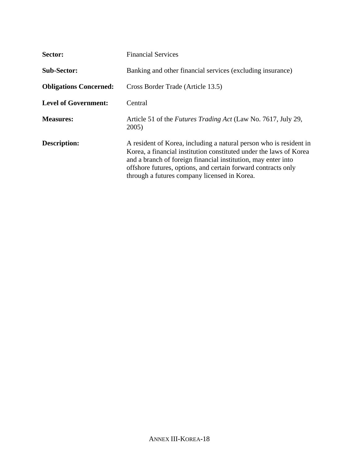| Sector:                       | <b>Financial Services</b>                                                                                                                                                                                                                                                                                                  |
|-------------------------------|----------------------------------------------------------------------------------------------------------------------------------------------------------------------------------------------------------------------------------------------------------------------------------------------------------------------------|
| <b>Sub-Sector:</b>            | Banking and other financial services (excluding insurance)                                                                                                                                                                                                                                                                 |
| <b>Obligations Concerned:</b> | Cross Border Trade (Article 13.5)                                                                                                                                                                                                                                                                                          |
| <b>Level of Government:</b>   | Central                                                                                                                                                                                                                                                                                                                    |
| <b>Measures:</b>              | Article 51 of the <i>Futures Trading Act</i> (Law No. 7617, July 29,<br>2005)                                                                                                                                                                                                                                              |
| <b>Description:</b>           | A resident of Korea, including a natural person who is resident in<br>Korea, a financial institution constituted under the laws of Korea<br>and a branch of foreign financial institution, may enter into<br>offshore futures, options, and certain forward contracts only<br>through a futures company licensed in Korea. |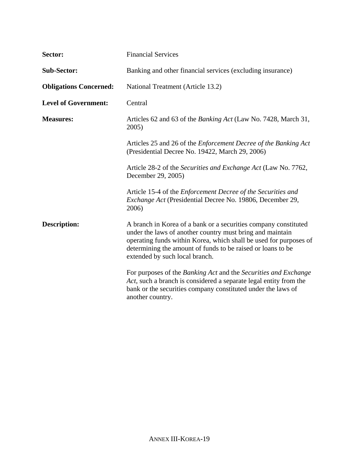| Sector:                       | <b>Financial Services</b>                                                                                                                                                                                                                                                                          |
|-------------------------------|----------------------------------------------------------------------------------------------------------------------------------------------------------------------------------------------------------------------------------------------------------------------------------------------------|
| <b>Sub-Sector:</b>            | Banking and other financial services (excluding insurance)                                                                                                                                                                                                                                         |
| <b>Obligations Concerned:</b> | National Treatment (Article 13.2)                                                                                                                                                                                                                                                                  |
| <b>Level of Government:</b>   | Central                                                                                                                                                                                                                                                                                            |
| <b>Measures:</b>              | Articles 62 and 63 of the <i>Banking Act</i> (Law No. 7428, March 31,<br>2005)                                                                                                                                                                                                                     |
|                               | Articles 25 and 26 of the <i>Enforcement Decree of the Banking Act</i><br>(Presidential Decree No. 19422, March 29, 2006)                                                                                                                                                                          |
|                               | Article 28-2 of the Securities and Exchange Act (Law No. 7762,<br>December 29, 2005)                                                                                                                                                                                                               |
|                               | Article 15-4 of the Enforcement Decree of the Securities and<br>Exchange Act (Presidential Decree No. 19806, December 29,<br>2006)                                                                                                                                                                 |
| <b>Description:</b>           | A branch in Korea of a bank or a securities company constituted<br>under the laws of another country must bring and maintain<br>operating funds within Korea, which shall be used for purposes of<br>determining the amount of funds to be raised or loans to be<br>extended by such local branch. |
|                               | For purposes of the Banking Act and the Securities and Exchange<br>Act, such a branch is considered a separate legal entity from the<br>bank or the securities company constituted under the laws of<br>another country.                                                                           |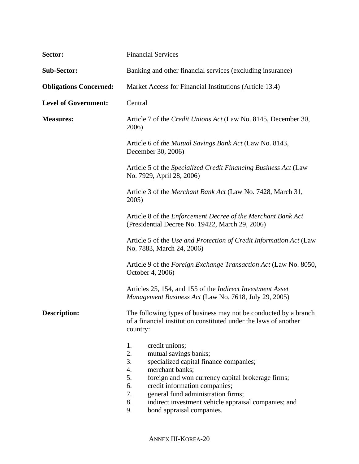| Sector:                       | <b>Financial Services</b>                                                                                                                                                                                                                                                                                                                                                   |  |
|-------------------------------|-----------------------------------------------------------------------------------------------------------------------------------------------------------------------------------------------------------------------------------------------------------------------------------------------------------------------------------------------------------------------------|--|
| <b>Sub-Sector:</b>            | Banking and other financial services (excluding insurance)                                                                                                                                                                                                                                                                                                                  |  |
| <b>Obligations Concerned:</b> | Market Access for Financial Institutions (Article 13.4)                                                                                                                                                                                                                                                                                                                     |  |
| <b>Level of Government:</b>   | Central                                                                                                                                                                                                                                                                                                                                                                     |  |
| <b>Measures:</b>              | Article 7 of the <i>Credit Unions Act</i> (Law No. 8145, December 30,<br>2006)                                                                                                                                                                                                                                                                                              |  |
|                               | Article 6 of the Mutual Savings Bank Act (Law No. 8143,<br>December 30, 2006)                                                                                                                                                                                                                                                                                               |  |
|                               | Article 5 of the Specialized Credit Financing Business Act (Law<br>No. 7929, April 28, 2006)                                                                                                                                                                                                                                                                                |  |
|                               | Article 3 of the Merchant Bank Act (Law No. 7428, March 31,<br>2005)                                                                                                                                                                                                                                                                                                        |  |
|                               | Article 8 of the Enforcement Decree of the Merchant Bank Act<br>(Presidential Decree No. 19422, March 29, 2006)                                                                                                                                                                                                                                                             |  |
|                               | Article 5 of the Use and Protection of Credit Information Act (Law<br>No. 7883, March 24, 2006)                                                                                                                                                                                                                                                                             |  |
|                               | Article 9 of the Foreign Exchange Transaction Act (Law No. 8050,<br>October 4, 2006)                                                                                                                                                                                                                                                                                        |  |
|                               | Articles 25, 154, and 155 of the <i>Indirect Investment Asset</i><br>Management Business Act (Law No. 7618, July 29, 2005)                                                                                                                                                                                                                                                  |  |
| <b>Description:</b>           | The following types of business may not be conducted by a branch<br>of a financial institution constituted under the laws of another<br>country:                                                                                                                                                                                                                            |  |
|                               | credit unions;<br>1.<br>2.<br>mutual savings banks;<br>3.<br>specialized capital finance companies;<br>4.<br>merchant banks;<br>5.<br>foreign and won currency capital brokerage firms;<br>6.<br>credit information companies;<br>general fund administration firms;<br>7.<br>8.<br>indirect investment vehicle appraisal companies; and<br>bond appraisal companies.<br>9. |  |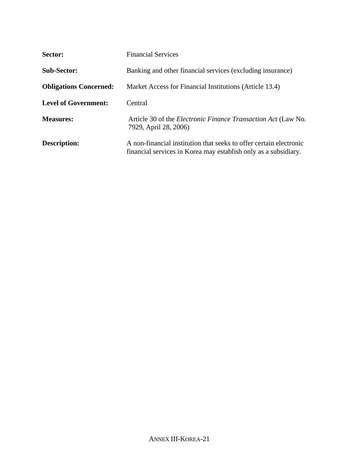| Sector:                       | <b>Financial Services</b>                                                                                                             |  |
|-------------------------------|---------------------------------------------------------------------------------------------------------------------------------------|--|
| <b>Sub-Sector:</b>            | Banking and other financial services (excluding insurance)                                                                            |  |
| <b>Obligations Concerned:</b> | Market Access for Financial Institutions (Article 13.4)                                                                               |  |
| <b>Level of Government:</b>   | Central                                                                                                                               |  |
| <b>Measures:</b>              | Article 30 of the <i>Electronic Finance Transaction Act</i> (Law No.<br>7929, April 28, 2006)                                         |  |
| <b>Description:</b>           | A non-financial institution that seeks to offer certain electronic<br>financial services in Korea may establish only as a subsidiary. |  |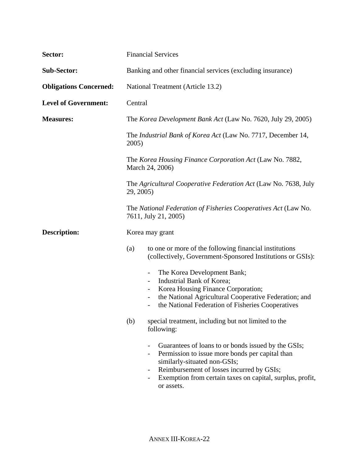| Sector:                       | <b>Financial Services</b>                                                                                                                                                                                                                                                                                 |  |
|-------------------------------|-----------------------------------------------------------------------------------------------------------------------------------------------------------------------------------------------------------------------------------------------------------------------------------------------------------|--|
| <b>Sub-Sector:</b>            | Banking and other financial services (excluding insurance)                                                                                                                                                                                                                                                |  |
| <b>Obligations Concerned:</b> | National Treatment (Article 13.2)                                                                                                                                                                                                                                                                         |  |
| <b>Level of Government:</b>   | Central                                                                                                                                                                                                                                                                                                   |  |
| <b>Measures:</b>              | The Korea Development Bank Act (Law No. 7620, July 29, 2005)                                                                                                                                                                                                                                              |  |
|                               | The Industrial Bank of Korea Act (Law No. 7717, December 14,<br>2005)                                                                                                                                                                                                                                     |  |
|                               | The Korea Housing Finance Corporation Act (Law No. 7882,<br>March 24, 2006)                                                                                                                                                                                                                               |  |
|                               | The Agricultural Cooperative Federation Act (Law No. 7638, July<br>29, 2005)                                                                                                                                                                                                                              |  |
|                               | The National Federation of Fisheries Cooperatives Act (Law No.<br>7611, July 21, 2005)                                                                                                                                                                                                                    |  |
| <b>Description:</b>           | Korea may grant                                                                                                                                                                                                                                                                                           |  |
|                               | to one or more of the following financial institutions<br>(a)<br>(collectively, Government-Sponsored Institutions or GSIs):                                                                                                                                                                               |  |
|                               | The Korea Development Bank;<br>Industrial Bank of Korea;<br>$\qquad \qquad \blacksquare$<br>Korea Housing Finance Corporation;<br>$\overline{\phantom{a}}$<br>the National Agricultural Cooperative Federation; and<br>-<br>the National Federation of Fisheries Cooperatives<br>$\overline{\phantom{a}}$ |  |
|                               | (b)<br>special treatment, including but not limited to the<br>following:                                                                                                                                                                                                                                  |  |
|                               | Guarantees of loans to or bonds issued by the GSIs;<br>Permission to issue more bonds per capital than<br>similarly-situated non-GSIs;<br>Reimbursement of losses incurred by GSIs;<br>$\qquad \qquad \blacksquare$<br>Exemption from certain taxes on capital, surplus, profit,<br>or assets.            |  |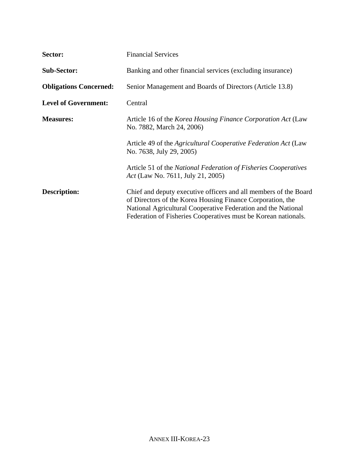| Sector:                       | <b>Financial Services</b>                                                                                                                                                                                                                                         |
|-------------------------------|-------------------------------------------------------------------------------------------------------------------------------------------------------------------------------------------------------------------------------------------------------------------|
| <b>Sub-Sector:</b>            | Banking and other financial services (excluding insurance)                                                                                                                                                                                                        |
| <b>Obligations Concerned:</b> | Senior Management and Boards of Directors (Article 13.8)                                                                                                                                                                                                          |
| <b>Level of Government:</b>   | Central                                                                                                                                                                                                                                                           |
| <b>Measures:</b>              | Article 16 of the Korea Housing Finance Corporation Act (Law<br>No. 7882, March 24, 2006)                                                                                                                                                                         |
|                               | Article 49 of the Agricultural Cooperative Federation Act (Law<br>No. 7638, July 29, 2005)                                                                                                                                                                        |
|                               | Article 51 of the National Federation of Fisheries Cooperatives<br>Act (Law No. 7611, July 21, 2005)                                                                                                                                                              |
| <b>Description:</b>           | Chief and deputy executive officers and all members of the Board<br>of Directors of the Korea Housing Finance Corporation, the<br>National Agricultural Cooperative Federation and the National<br>Federation of Fisheries Cooperatives must be Korean nationals. |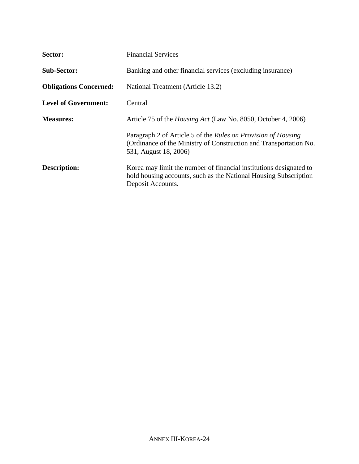| Sector:                       | <b>Financial Services</b>                                                                                                                                   |
|-------------------------------|-------------------------------------------------------------------------------------------------------------------------------------------------------------|
| <b>Sub-Sector:</b>            | Banking and other financial services (excluding insurance)                                                                                                  |
| <b>Obligations Concerned:</b> | National Treatment (Article 13.2)                                                                                                                           |
| <b>Level of Government:</b>   | Central                                                                                                                                                     |
| <b>Measures:</b>              | Article 75 of the Housing Act (Law No. 8050, October 4, 2006)                                                                                               |
|                               | Paragraph 2 of Article 5 of the Rules on Provision of Housing<br>(Ordinance of the Ministry of Construction and Transportation No.<br>531, August 18, 2006) |
| <b>Description:</b>           | Korea may limit the number of financial institutions designated to<br>hold housing accounts, such as the National Housing Subscription<br>Deposit Accounts. |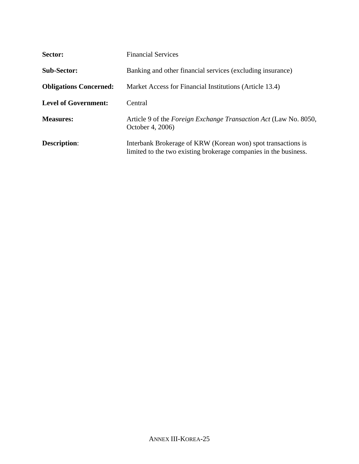| Sector:                       | <b>Financial Services</b>                                                                                                        |
|-------------------------------|----------------------------------------------------------------------------------------------------------------------------------|
| <b>Sub-Sector:</b>            | Banking and other financial services (excluding insurance)                                                                       |
| <b>Obligations Concerned:</b> | Market Access for Financial Institutions (Article 13.4)                                                                          |
| <b>Level of Government:</b>   | Central                                                                                                                          |
| <b>Measures:</b>              | Article 9 of the <i>Foreign Exchange Transaction Act</i> (Law No. 8050,<br>October 4, 2006)                                      |
| <b>Description:</b>           | Interbank Brokerage of KRW (Korean won) spot transactions is<br>limited to the two existing brokerage companies in the business. |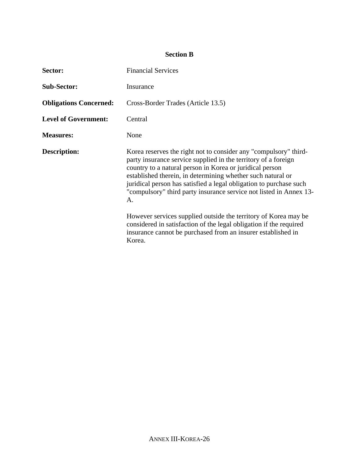# **Section B**

| Sector:                       | <b>Financial Services</b>                                                                                                                                                                                                                                                                                                                                                                                       |
|-------------------------------|-----------------------------------------------------------------------------------------------------------------------------------------------------------------------------------------------------------------------------------------------------------------------------------------------------------------------------------------------------------------------------------------------------------------|
| <b>Sub-Sector:</b>            | Insurance                                                                                                                                                                                                                                                                                                                                                                                                       |
| <b>Obligations Concerned:</b> | Cross-Border Trades (Article 13.5)                                                                                                                                                                                                                                                                                                                                                                              |
| <b>Level of Government:</b>   | Central                                                                                                                                                                                                                                                                                                                                                                                                         |
| <b>Measures:</b>              | None                                                                                                                                                                                                                                                                                                                                                                                                            |
| <b>Description:</b>           | Korea reserves the right not to consider any "compulsory" third-<br>party insurance service supplied in the territory of a foreign<br>country to a natural person in Korea or juridical person<br>established therein, in determining whether such natural or<br>juridical person has satisfied a legal obligation to purchase such<br>"compulsory" third party insurance service not listed in Annex 13-<br>A. |
|                               | However services supplied outside the territory of Korea may be<br>considered in satisfaction of the legal obligation if the required<br>insurance cannot be purchased from an insurer established in<br>Korea.                                                                                                                                                                                                 |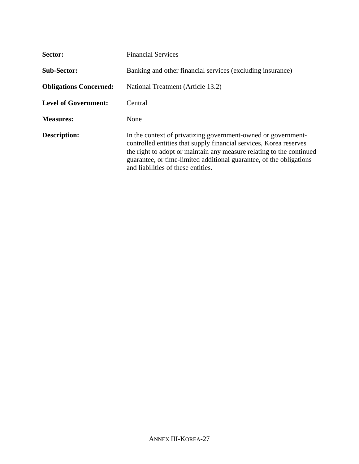| Sector:                       | <b>Financial Services</b>                                                                                                                                                                                                                                                                                                |
|-------------------------------|--------------------------------------------------------------------------------------------------------------------------------------------------------------------------------------------------------------------------------------------------------------------------------------------------------------------------|
| <b>Sub-Sector:</b>            | Banking and other financial services (excluding insurance)                                                                                                                                                                                                                                                               |
| <b>Obligations Concerned:</b> | National Treatment (Article 13.2)                                                                                                                                                                                                                                                                                        |
| <b>Level of Government:</b>   | Central                                                                                                                                                                                                                                                                                                                  |
| <b>Measures:</b>              | None                                                                                                                                                                                                                                                                                                                     |
| <b>Description:</b>           | In the context of privatizing government-owned or government-<br>controlled entities that supply financial services, Korea reserves<br>the right to adopt or maintain any measure relating to the continued<br>guarantee, or time-limited additional guarantee, of the obligations<br>and liabilities of these entities. |